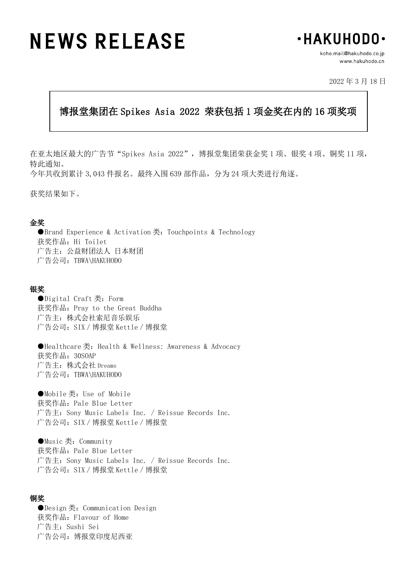# **NEWS RELEASE**



koho.mail@hakuhodo.co.jp www.hakuhodo.cn

2022 年 3 月 18 日

## 博报堂集团在 Spikes Asia 2022 荣获包括 1 项金奖在内的 16 项奖项

Ξ

在亚太地区最大的广告节"Spikes Asia 2022", 博报堂集团荣获金奖 1 项、银奖 4 项、铜奖 11 项, 特此通知。 今年共收到累计 3,043 件报名。最终入围 639 部作品,分为 24 项大类进行角逐。

获奖结果如下。

#### 金奖

●Brand Experience & Activation 类: Touchpoints & Technology 获奖作品: Hi Toilet 广告主:公益财团法人 日本财团 广告公司:TBWA\HAKUHODO

#### 银奖

●Digital Craft 类: Form 获奖作品: Pray to the Great Buddha 广告主:株式会社索尼音乐娱乐 广告公司:SIX/博报堂 Kettle/博报堂

●Healthcare 类: Health & Wellness: Awareness & Advocacy 获奖作品:30SOAP 广告主:株式会社 Dreams 广告公司:TBWA\HAKUHODO

●Mobile 类: Use of Mobile 获奖作品:Pale Blue Letter 广告主:Sony Music Labels Inc. / Reissue Records Inc. 广告公司:SIX/博报堂 Kettle/博报堂

●Music 类: Community 获奖作品:Pale Blue Letter 广告主:Sony Music Labels Inc. / Reissue Records Inc. 广告公司:SIX/博报堂 Kettle/博报堂

#### 铜奖

●Design 类: Communication Design 获奖作品:Flavour of Home 广告主:Sushi Sei 广告公司:博报堂印度尼西亚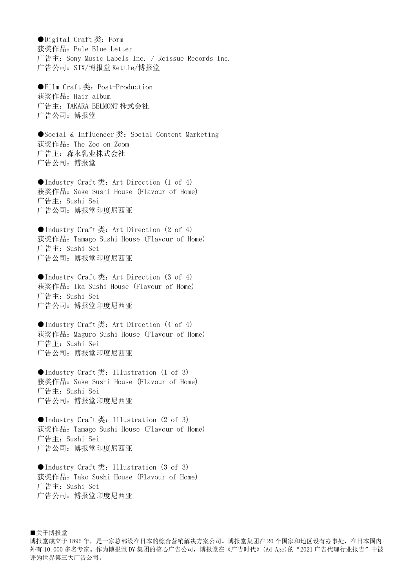●Digital Craft 类: Form 获奖作品: Pale Blue Letter 广告主:Sony Music Labels Inc. / Reissue Records Inc. 广告公司:SIX/博报堂 Kettle/博报堂

●Film Craft类: Post-Production 获奖作品: Hair album 广告主:TAKARA BELMONT 株式会社 广告公司:博报堂

●Social & Influencer类: Social Content Marketing 获奖作品:The Zoo on Zoom 广告主:森永乳业株式会社 广告公司:博报堂

●Industry Craft类: Art Direction (1 of 4) 获奖作品:Sake Sushi House (Flavour of Home) 广告主:Sushi Sei 广告公司:博报堂印度尼西亚

●Industry Craft 类: Art Direction (2 of 4) 获奖作品:Tamago Sushi House (Flavour of Home) 广告主:Sushi Sei 广告公司:博报堂印度尼西亚

●Industry Craft 类: Art Direction (3 of 4) 获奖作品:Ika Sushi House (Flavour of Home) 广告主:Sushi Sei 广告公司:博报堂印度尼西亚

●Industry Craft 类: Art Direction (4 of 4) 获奖作品: Maguro Sushi House (Flavour of Home) 广告主:Sushi Sei 广告公司:博报堂印度尼西亚

●Industry Craft 类: Illustration (1 of 3) 获奖作品: Sake Sushi House (Flavour of Home) 广告主:Sushi Sei 广告公司:博报堂印度尼西亚

●Industry Craft 类: Illustration (2 of 3) 获奖作品:Tamago Sushi House (Flavour of Home) 广告主:Sushi Sei 广告公司:博报堂印度尼西亚

●Industry Craft类: Illustration (3 of 3) 获奖作品:Tako Sushi House (Flavour of Home) 广告主:Sushi Sei 广告公司:博报堂印度尼西亚

■关于博报堂 博报堂成立于1895年,是一家总部设在日本的综合营销解决方案公司。博报堂集团在 20 个国家和地区设有办事处, 在日本国内 外有 10,000 多名专家。作为博报堂 DY 集团的核心广告公司, 博报堂在《广告时代》(Ad Age)的"2021 广告代理行业报告"中被 评为世界第三大广告公司。